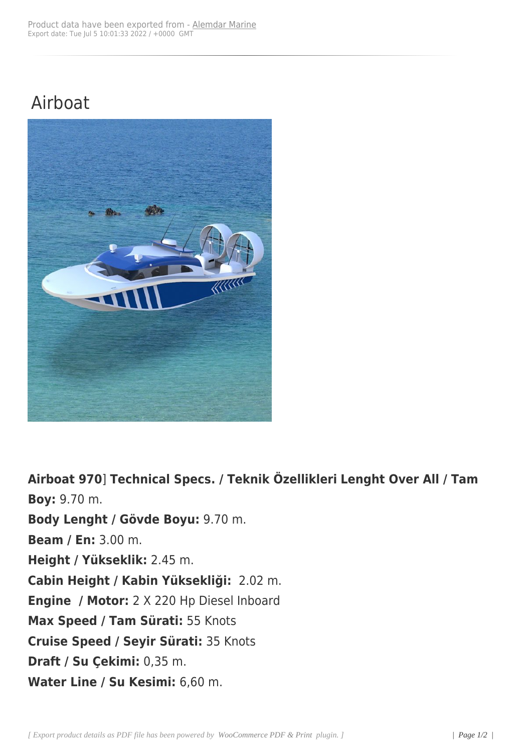## Airboat



**Airboat 970**] **Technical Specs. / Teknik Özellikleri Lenght Over All / Tam Boy:** 9.70 m. **Body Lenght / Gövde Boyu:** 9.70 m. **Beam / En:** 3.00 m. **Height / Yükseklik:** 2.45 m. **Cabin Height / Kabin Yüksekliği:** 2.02 m. **Engine / Motor:** 2 X 220 Hp Diesel Inboard **Max Speed / Tam Sürati:** 55 Knots **Cruise Speed / Seyir Sürati:** 35 Knots **Draft / Su Çekimi:** 0,35 m. **Water Line / Su Kesimi:** 6,60 m.